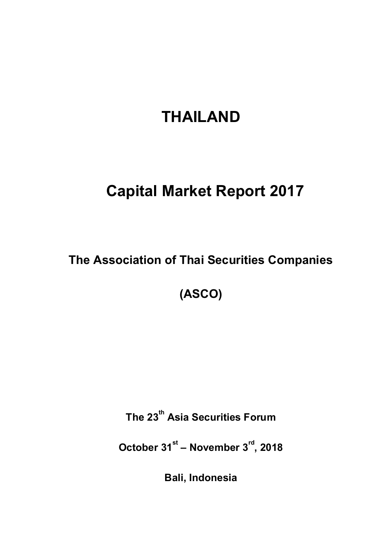# **THAILAND**

## **Capital Market Report 2017**

**The Association of Thai Securities Companies**

**(ASCO)**

**The 23 th Asia Securities Forum**

**October 31st – November 3rd, 2018**

**Bali, Indonesia**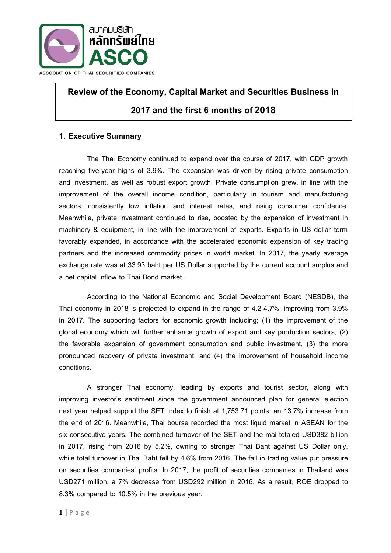

## **Review of the Economy, Capital Market and Securities Business in**

## **2017 andthe first 6 months of2018**

## **1. Executive Summary**

The Thai Economy continued to expand over the course of 2017, with GDP growth reaching five-year highs of 3.9%. The expansion was driven by rising private consumption and investment, as well as robust export growth. Private consumption grew, in line with the improvement of the overall income condition, particularly in tourism and manufacturing sectors, consistently low inflation and interest rates, and rising consumer confidence. Meanwhile, private investment continued to rise, boosted by the expansion of investment in machinery & equipment, in line with the improvement of exports. Exports in US dollar term favorably expanded, in accordance with the accelerated economic expansion of key trading partners and the increased commodity prices in world market. In 2017, the yearly average exchange rate was at 33.93 baht per US Dollar supported by the current account surplus and a net capital inflow to Thai Bond market.

According to the National Economic and Social Development Board (NESDB), the Thai economy in 2018 is projected to expand in the range of 4.2-4.7%, improving from 3.9% in 2017. The supporting factors for economic growth including; (1) the improvement of the global economy which will further enhance growth of export and key production sectors, (2) the favorable expansion of government consumption and public investment, (3) the more pronounced recovery of private investment, and (4) the improvement of household income conditions.

A stronger Thai economy, leading by exports and tourist sector, along with improving investor's sentiment since the government announced plan for general election next year helped support the SET Index to finish at 1,753.71 points, an 13.7% increase from the end of 2016. Meanwhile, Thai bourse recorded the most liquid market in ASEAN for the six consecutive years. The combined turnover of the SET and the mai totaled USD382 billion in 2017, rising from 2016 by 5.2%, owning to stronger Thai Baht against US Dollar only, while total turnover in Thai Baht fell by 4.6% from 2016. The fall in trading value put pressure on securities companies' profits. In 2017, the profit of securities companies in Thailand was USD271 million, a 7% decrease from USD292 million in 2016. As a result, ROE dropped to 8.3% compared to 10.5% in the previous year.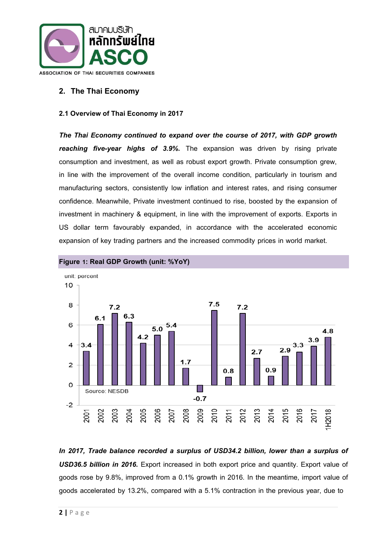

## **2. The Thai Economy**

#### **2.1 Overview of Thai Economy in 2017**

*The Thai Economy continued to expand over the course of 2017, with GDP growth reaching five-year highs of 3.9%.* The expansion was driven by rising private consumption and investment, as well as robust export growth. Private consumption grew, in line with the improvement of the overall income condition, particularly in tourism and manufacturing sectors, consistently low inflation and interest rates, and rising consumer confidence. Meanwhile, Private investment continued to rise, boosted by the expansion of investment in machinery & equipment, in line with the improvement of exports. Exports in US dollar term favourably expanded, in accordance with the accelerated economic expansion of key trading partners and the increased commodity prices in world market.



**Figure 1: Real GDP Growth (unit: %YoY)**

*In 2017, Trade balance recorded a surplus of USD34.2 billion, lower than a surplus of USD36.5 billion in 2016.* Export increased in both export price and quantity. Export value of goods rose by 9.8%, improved from a 0.1% growth in 2016. In the meantime, import value of goods accelerated by 13.2%, compared with a 5.1% contraction in the previous year, due to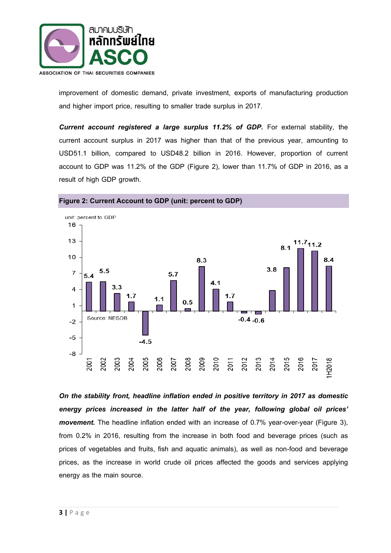

improvement of domestic demand, private investment, exports of manufacturing production and higher import price, resulting to smaller trade surplus in 2017.

**Current account registered a large surplus 11.2% of GDP.** For external stability, the current account surplus in 2017 was higher than that of the previous year, amounting to USD51.1 billion, compared to USD48.2 billion in 2016. However, proportion of current account to GDP was 11.2% of the GDP (Figure 2), lower than 11.7% of GDP in 2016, as a result of high GDP growth.



#### **Figure 2: Current Account to GDP (unit: percent to GDP)**

*On the stability front, headline inflation ended in positive territory in 2017 as domestic energy prices increased in the latter half of the year, following global oil prices' movement.* The headline inflation ended with an increase of 0.7% year-over-year (Figure 3), from 0.2% in 2016, resulting from the increase in both food and beverage prices (such as prices of vegetables and fruits, fish and aquatic animals), as well as non-food and beverage prices, as the increase in world crude oil prices affected the goods and services applying energy as the main source.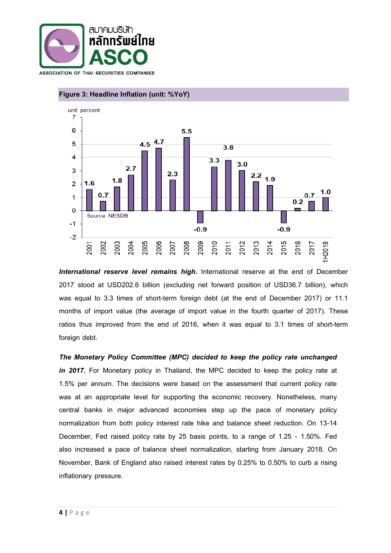



## **Figure 3: Headline Inflation (unit: %YoY)**

*International reserve level remains high.* International reserve at the end of December 2017 stood at USD202.6 billion (excluding net forward position of USD36.7 billion), which was equal to 3.3 times of short-term foreign debt (at the end of December 2017) or 11.1 months of import value (the average of import value in the fourth quarter of 2017). These ratios thus improved from the end of 2016, when it was equal to 3.1 times of short-term foreign debt.

*The Monetary Policy Committee (MPC) decided to keep the policy rate unchanged*  in 2017. For Monetary policy in Thailand, the MPC decided to keep the policy rate at 1.5% per annum. The decisions were based on the assessment that current policy rate was at an appropriate level for supporting the economic recovery. Nonetheless, many central banks in major advanced economies step up the pace of monetary policy normalization from both policy interest rate hike and balance sheet reduction. On 13-14 December, Fed raised policy rate by 25 basis points, to a range of 1.25 - 1.50%. Fed also increased a pace of balance sheet normalization, starting from January 2018. On November, Bank of England also raised interest rates by 0.25% to 0.50% to curb a rising inflationary pressure.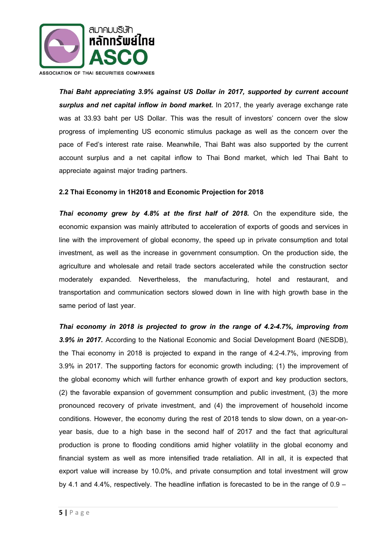

*Thai Baht appreciating 3.9% against US Dollar in 2017, supported by current account*  surplus and net capital inflow in bond market. In 2017, the yearly average exchange rate was at 33.93 baht per US Dollar. This was the result of investors' concern over the slow progress of implementing US economic stimulus package as well as the concern over the pace of Fed's interest rate raise. Meanwhile, Thai Baht was also supported by the current account surplus and a net capital inflow to Thai Bond market, which led Thai Baht to appreciate against major trading partners.

#### **2.2Thai Economy in 1H2018and Economic Projection for 2018**

*Thai economy grew by 4.8% at the first half of 2018.* On the expenditure side, the economic expansion was mainly attributed to acceleration of exports of goods and services in line with the improvement of global economy, the speed up in private consumption and total investment, as well as the increase in government consumption. On the production side, the agriculture and wholesale and retail trade sectors accelerated while the construction sector moderately expanded. Nevertheless, the manufacturing, hotel and restaurant, and transportation and communication sectors slowed down in line with high growth base in the same period of last year.

*Thai economy in 2018 is projected to grow in the range of 4.2-4.7%, improving from 3.9% in 2017.* According to the National Economic and Social Development Board (NESDB), the Thai economy in 2018 is projected to expand in the range of 4.2-4.7%, improving from 3.9% in 2017. The supporting factors for economic growth including; (1) the improvement of the global economy which will further enhance growth of export and key production sectors, (2) the favorable expansion of government consumption and public investment, (3) the more pronounced recovery of private investment, and (4) the improvement of household income conditions. However, the economy during the rest of 2018 tends to slow down, on a year-onyear basis, due to a high base in the second half of 2017 and the fact that agricultural production is prone to flooding conditions amid higher volatility in the global economy and financial system as well as more intensified trade retaliation. All in all, it is expected that export value will increase by 10.0%, and private consumption and total investment will grow by 4.1 and 4.4%, respectively. The headline inflation is forecasted to be in the range of 0.9 –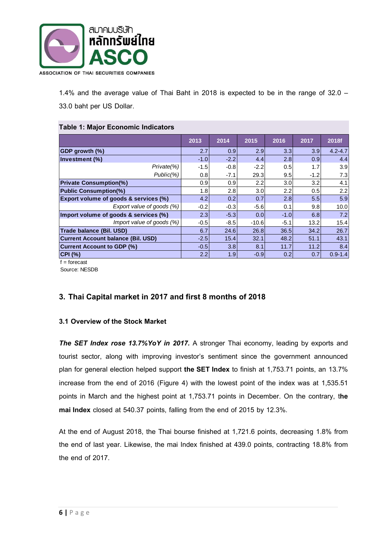

1.4% and the average value of Thai Baht in 2018 is expected to be in the range of 32.0 – 33.0 baht per US Dollar.

#### **Table 1: Major Economic Indicators**

|                                                                                                                                                                                                                                                                                                                                                      | 2013   | 2014   | 2015    | 2016             | 2017   | 2018f       |
|------------------------------------------------------------------------------------------------------------------------------------------------------------------------------------------------------------------------------------------------------------------------------------------------------------------------------------------------------|--------|--------|---------|------------------|--------|-------------|
| <b>GDP</b> growth (%)                                                                                                                                                                                                                                                                                                                                | 2.7    | 0.9    | 2.9     | 3.3              | 3.9    | $4.2 - 4.7$ |
| Investment (%)                                                                                                                                                                                                                                                                                                                                       | $-1.0$ | $-2.2$ | 4.4     | 2.8              | 0.9    | 4.4         |
| Private(%)                                                                                                                                                                                                                                                                                                                                           | $-1.5$ | $-0.8$ | $-2.2$  | 0.5              | 1.7    | 3.9         |
| Public(%)                                                                                                                                                                                                                                                                                                                                            | 0.8    | $-7.1$ | 29.3    | 9.5              | $-1.2$ | 7.3         |
| <b>Private Consumption(%)</b>                                                                                                                                                                                                                                                                                                                        | 0.9    | 0.9    | 2.2     | 3.0              | 3.2    | 4.1         |
| <b>Public Consumption(%)</b>                                                                                                                                                                                                                                                                                                                         | 1.8    | 2.8    | 3.0     | $2.2\phantom{0}$ | 0.5    | 2.2         |
| <b>Export volume of goods &amp; services (%)</b>                                                                                                                                                                                                                                                                                                     | 4.2    | 0.2    | 0.7     | 2.8              | 5.5    | 5.9         |
| Export value of goods (%)                                                                                                                                                                                                                                                                                                                            | $-0.2$ | $-0.3$ | $-5.6$  | 0.1              | 9.8    | 10.0        |
| Import volume of goods & services (%)                                                                                                                                                                                                                                                                                                                | 2.3    | $-5.3$ | 0.0     | $-1.0$           | 6.8    | 7.2         |
| Import value of goods (%)                                                                                                                                                                                                                                                                                                                            | -0.5   | $-8.5$ | $-10.6$ | $-5.1$           | 13.2   | 15.4        |
| Trade balance (Bil. USD)                                                                                                                                                                                                                                                                                                                             | 6.7    | 24.6   | 26.8    | 36.5             | 34.2   | 26.7        |
| <b>Current Account balance (Bil. USD)</b>                                                                                                                                                                                                                                                                                                            | $-2.5$ | 15.4   | 32.1    | 48.2             | 51.1   | 43.1        |
| <b>Current Account to GDP (%)</b>                                                                                                                                                                                                                                                                                                                    | $-0.5$ | 3.8    | 8.1     | 11.7             | 11.2   | 8.4         |
| <b>CPI (%)</b><br>$\mathbf{f}$ $\mathbf{f}$ $\mathbf{f}$ $\mathbf{f}$ $\mathbf{f}$ $\mathbf{f}$ $\mathbf{f}$ $\mathbf{f}$ $\mathbf{f}$ $\mathbf{f}$ $\mathbf{f}$ $\mathbf{f}$ $\mathbf{f}$ $\mathbf{f}$ $\mathbf{f}$ $\mathbf{f}$ $\mathbf{f}$ $\mathbf{f}$ $\mathbf{f}$ $\mathbf{f}$ $\mathbf{f}$ $\mathbf{f}$ $\mathbf{f}$ $\mathbf{f}$ $\mathbf{$ | 2.2    | 1.9    | $-0.9$  | 0.2              | 0.7    | $0.9 - 1.4$ |

 $f =$ forecast

Source: NESDB

## **3. Thai Capital market in 2017 and first 8 monthsof 2018**

#### **3.1 Overview of the Stock Market**

**The SET Index rose 13.7%YoY in 2017.** A stronger Thai economy, leading by exports and tourist sector, along with improving investor's sentiment since the government announced plan for general election helped support **the SET Index** to finish at 1,753.71 points, an 13.7% increase from the end of 2016 (Figure 4) with the lowest point of the index was at 1,535.51 points in March and the highest point at 1,753.71 points in December. On the contrary, t**he mai Index** closed at 540.37 points, falling from the end of 2015 by 12.3%.

At the end of August 2018, the Thai bourse finished at 1,721.6 points, decreasing 1.8% from the end of last year. Likewise, the mai Index finished at 439.0 points, contracting 18.8% from the end of 2017.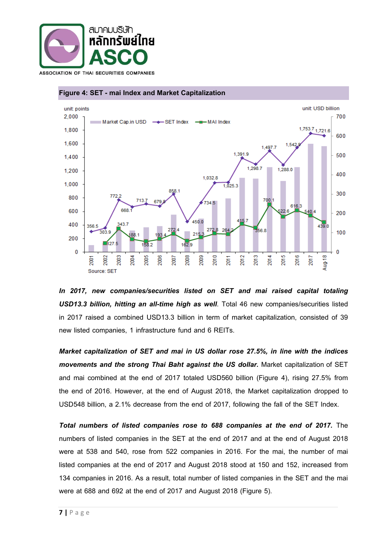





*In 2017, new companies/securities listed on SET and mai raised capital totaling USD13.3 billion, hitting an all-time high as well*. Total 46 new companies/securities listed in 2017 raised a combined USD13.3 billion in term of market capitalization, consisted of 39 new listed companies, 1 infrastructure fund and 6 REITs.

*Market capitalization of SET and mai in US dollar rose 27.5%, in line with the indices movements and the strong Thai Baht against the US dollar.* Market capitalization of SET and mai combined at the end of 2017 totaled USD560 billion (Figure 4), rising 27.5% from the end of 2016. However, at the end of August 2018, the Market capitalization dropped to USD548 billion, a 2.1% decrease from the end of 2017, following the fall of the SET Index.

*Total numbers of listed companies rose to 688 companies at the end of 2017.* The numbers of listed companies in the SET at the end of 2017 and at the end of August 2018 were at 538 and 540, rose from 522 companies in 2016. For the mai, the number of mai listed companies at the end of 2017 and August 2018 stood at 150 and 152, increased from 134 companies in 2016. As a result, total number of listed companies in the SET and the mai were at 688 and 692 at the end of 2017 and August 2018 (Figure 5).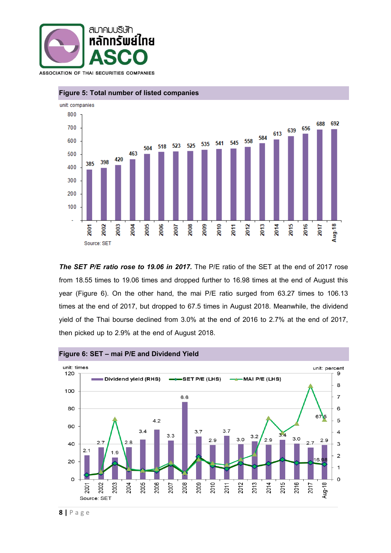



#### **Figure 5: Total number of listed companies**

*The SET P/E ratio rose to 19.06 in 2017.* The P/E ratio of the SET at the end of 2017 rose from 18.55 times to 19.06 times and dropped further to 16.98 times at the end of August this year (Figure 6). On the other hand, the mai P/E ratio surged from 63.27 times to 106.13 times at the end of 2017, but dropped to 67.5 times in August 2018. Meanwhile, the dividend yield of the Thai bourse declined from 3.0% at the end of 2016 to 2.7% at the end of 2017, then picked up to 2.9% at the end of August 2018.

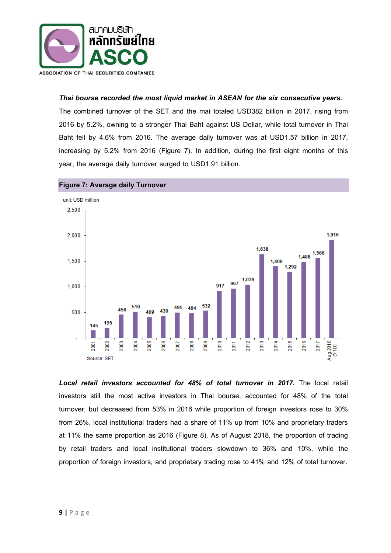

### *Thai bourse recorded the most liquid market in ASEAN for the six consecutive years.*

The combined turnover of the SET and the mai totaled USD382 billion in 2017, rising from 2016 by 5.2%, owning to a stronger Thai Baht against US Dollar, while total turnover in Thai Baht fell by 4.6% from 2016. The average daily turnover was at USD1.57 billion in 2017, increasing by 5.2% from 2016 (Figure 7). In addition, during the first eight months of this year, the average daily turnover surged to USD1.91 billion.





Local retail investors accounted for 48% of total turnover in 2017. The local retail investors still the most active investors in Thai bourse, accounted for 48% of the total turnover, but decreased from 53% in 2016 while proportion of foreign investors rose to 30% from 26%, local institutional traders had a share of 11% up from 10% and proprietary traders at 11% the same proportion as 2016 (Figure 8). As of August 2018, the proportion of trading by retail traders and local institutional traders slowdown to 36% and 10%, while the proportion of foreign investors, and proprietary trading rose to 41% and 12% of total turnover.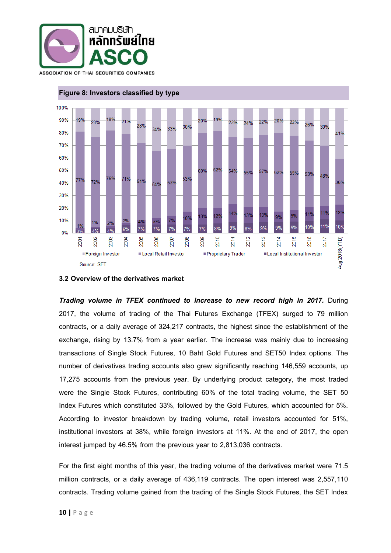



#### **Figure 8: Investors classified by type**

#### **3.2 Overview of the derivatives market**

*Trading volume in TFEX continued to increase to new record high in 2017.* During 2017, the volume of trading of the Thai Futures Exchange (TFEX) surged to 79 million contracts, or a daily average of 324,217 contracts, the highest since the establishment of the exchange, rising by 13.7% from a year earlier. The increase was mainly due to increasing transactions of Single Stock Futures, 10 Baht Gold Futures and SET50 Index options. The number of derivatives trading accounts also grew significantly reaching 146,559 accounts, up 17,275 accounts from the previous year. By underlying product category, the most traded were the Single Stock Futures, contributing 60% of the total trading volume, the SET 50 Index Futures which constituted 33%, followed by the Gold Futures, which accounted for 5%. According to investor breakdown by trading volume, retail investors accounted for 51%, institutional investors at 38%, while foreign investors at 11%. At the end of 2017, the open interest jumped by 46.5% from the previous year to 2,813,036 contracts.

For the first eight months of this year, the trading volume of the derivatives market were 71.5 million contracts, or a daily average of 436,119 contracts. The open interest was 2,557,110 contracts. Trading volume gained from the trading of the Single Stock Futures, the SET Index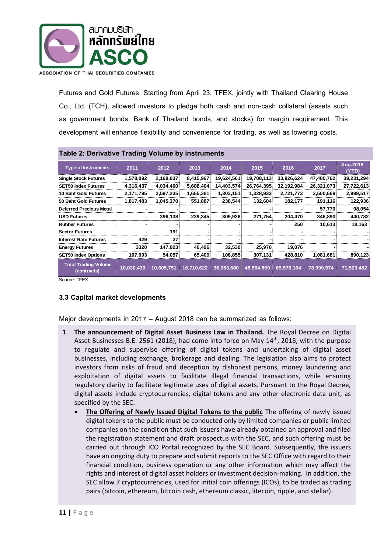

Futures and Gold Futures. Starting from April 23, TFEX, jointly with Thailand Clearing House Co., Ltd. (TCH), allowed investors to pledge both cash and non-cash collateral (assets such as government bonds, Bank of Thailand bonds, and stocks) for margin requirement. This development willenhance flexibility and convenience for trading, as well as lowering costs.

| Table 2: Derivative Trading volume by instruments           |            |            |            |            |            |            |            |                   |  |
|-------------------------------------------------------------|------------|------------|------------|------------|------------|------------|------------|-------------------|--|
| <b>Type of Instruments</b>                                  | 2011       | 2012       | 2013       | 2014       | 2015       | 2016       | 2017       | Aug.2018<br>(YTD) |  |
| <b>Single Stock Futures</b>                                 | 1,578,092  | 2,168,037  | 8,415,967  | 19,624,561 | 19,708,113 | 33,826,624 | 47,480,762 | 39,231,294        |  |
| <b>SET50 Index Futures</b>                                  | 4,316,437  | 4,034,460  | 5,688,404  | 14,403,574 | 26,764,395 | 32,192,984 | 26,321,073 | 27,722,613        |  |
| 10 Baht Gold Futures                                        | 2,171,795  | 2,597,235  | 1,655,381  | 1,303,151  | 1,328,932  | 2,721,773  | 3,500,669  | 2,999,517         |  |
| 50 Baht Gold Futures                                        | 1,817,483  | 1,045,370  | 551,887    | 238,544    | 132,604    | 182,177    | 191,116    | 122,936           |  |
| <b>Deferred Precious Metal</b>                              |            |            |            |            |            |            | 57,770     | 98,054            |  |
| <b>USD Futures</b>                                          |            | 396,138    | 239,345    | 309,926    | 271,754    | 204,470    | 346,890    | 440,782           |  |
| Rubber Futures                                              |            |            |            |            |            | 250        | 10,613     | 18,163            |  |
| <b>Sector Futures</b>                                       |            | 191        |            |            |            |            |            |                   |  |
| <b>Interest Rate Futures</b>                                | 429        | 27         |            |            |            |            |            |                   |  |
| <b>Energy Futures</b>                                       | 3320       | 147,823    | 46,496     | 32,530     | 25,970     | 19,076     |            |                   |  |
| <b>SET50 Index Options</b>                                  | 107,993    | 54,057     | 65,409     | 108,855    | 307,131    | 428,810    | 1,081,681  | 890,123           |  |
| <b>Total Trading Volume</b><br>(contracts)<br>---- <u>-</u> | 10,030,436 | 10,605,751 | 16,710,622 | 36,053,680 | 48,564,869 | 69,576,164 | 78,990,574 | 71,523,482        |  |

## **Table 2: Derivative Trading Volumeby instruments**

Source: TFEX

#### **3.3 Capital market developments**

Major developments in 2017 – August 2018 can be summarized as follows:

- 1. **The announcement of Digital Asset Business Law in Thailand.** The Royal Decree on Digital Asset Businesses B.E. 2561 (2018), had come into force on May 14<sup>th</sup>, 2018, with the purpose to regulate and supervise offering of digital tokens and undertaking of digital asset businesses, including exchange, brokerage and dealing. The legislation also aims to protect investors from risks of fraud and deception by dishonest persons, money laundering and exploitation of digital assets to facilitate illegal financial transactions, while ensuring regulatory clarity to facilitate legitimate uses of digital assets. Pursuant to the Royal Decree, digital assets include cryptocurrencies, digital tokens and any other electronic data unit, as specified by the SEC.
	- **The Offering of Newly Issued Digital Tokens to the public** The offering of newly issued digital tokens to the public must be conducted only by limited companies or public limited companies on the condition that such issuers have already obtained an approval and filed the registration statement and draft prospectus with the SEC, and such offering must be carried out through ICO Portal recognized by the SEC Board. Subsequently, the issuers have an ongoing duty to prepare and submit reports to the SEC Office with regard to their financial condition, business operation or any other information which may affect the rights and interest of digital asset holders or investment decision-making. In addition, the SEC allow 7 cryptocurrencies, used for initial coin offerings (ICOs), to be traded as trading pairs (bitcoin, ethereum, bitcoin cash, ethereum classic, litecoin, ripple, and stellar).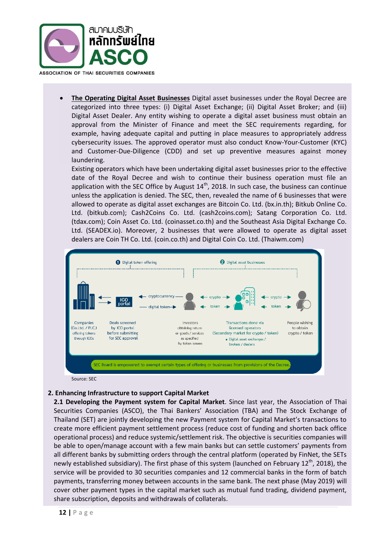

 **The Operating Digital Asset Businesses** Digital asset businesses under the Royal Decree are categorized into three types: (i) Digital Asset Exchange; (ii) Digital Asset Broker; and (iii) Digital Asset Dealer. Any entity wishing to operate a digital asset business must obtain an approval from the Minister of Finance and meet the SEC requirements regarding, for example, having adequate capital and putting in place measures to appropriately address cybersecurity issues. The approved operator must also conduct Know-Your-Customer (KYC) and Customer-Due-Diligence (CDD) and set up preventive measures against money laundering.

Existing operators which have been undertaking digital asset businesses prior to the effective date of the Royal Decree and wish to continue their business operation must file an application with the SEC Office by August  $14<sup>th</sup>$ , 2018. In such case, the business can continue unless the application is denied. The SEC, then, revealed the name of 6 businesses that were allowed to operate as digital asset exchanges are Bitcoin Co. Ltd. (bx.in.th); Bitkub Online Co. Ltd. (bitkub.com); Cash2Coins Co. Ltd. (cash2coins.com); Satang Corporation Co. Ltd. (tdax.com); Coin Asset Co. Ltd. (coinasset.co.th) and the Southeast Asia Digital Exchange Co. Ltd. (SEADEX.io). Moreover, 2 businesses that were allowed to operate as digital asset dealers are Coin TH Co. Ltd. (coin.co.th) and Digital Coin Co. Ltd. (Thaiwm.com)



Source: SEC

#### **2. Enhancing Infrastructure to support Capital Market**

**2.1 Developing the Payment system for Capital Market**. Since last year, the Association of Thai Securities Companies (ASCO), the Thai Bankers' Association (TBA) and The Stock Exchange of Thailand (SET) are jointly developing the new Payment system for Capital Market's transactions to create more efficient payment settlement process (reduce cost of funding and shorten back office operational process) and reduce systemic/settlement risk. The objective is securities companies will be able to open/manage account with a few main banks but can settle customers' payments from all different banks by submitting orders through the central platform (operated by FinNet, the SETs newly established subsidiary). The first phase of this system (launched on February 12<sup>th</sup>, 2018), the service will be provided to 30 securities companies and 12 commercial banks in the form of batch payments, transferring money between accounts in the same bank. The next phase (May 2019) will cover other payment types in the capital market such as mutual fund trading, dividend payment, share subscription, deposits and withdrawals of collaterals.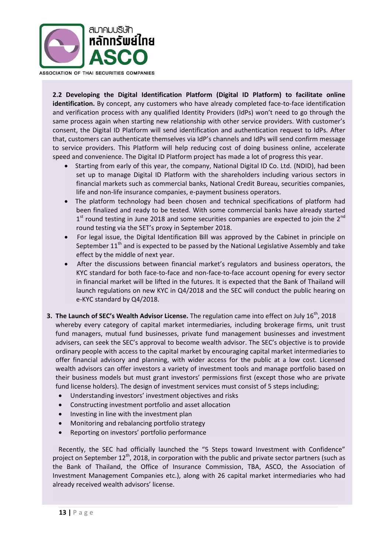

**2.2 Developing the Digital Identification Platform (Digital ID Platform) to facilitate online identification.** By concept, any customers who have already completed face-to-face identification and verification process with any qualified Identity Providers (IdPs) won't need to go through the same process again when starting new relationship with other service providers. With customer's consent, the Digital ID Platform will send identification and authentication request to IdPs. After that, customers can authenticate themselves via IdP's channels and IdPs will send confirm message to service providers. This Platform will help reducing cost of doing business online, accelerate speed and convenience. The Digital ID Platform project has made a lot of progress this year.

- Starting from early of this year, the company, National Digital ID Co. Ltd. (NDID), had been set up to manage Digital ID Platform with the shareholders including various sectors in financial markets such as commercial banks, National Credit Bureau, securities companies, life and non-life insurance companies, e-payment business operators.
- The platform technology had been chosen and technical specifications of platform had been finalized and ready to be tested. With some commercial banks have already started  $1<sup>st</sup>$  round testing in June 2018 and some securities companies are expected to join the 2<sup>nd</sup> round testing via the SET's proxy in September 2018.
- For legal issue, the Digital Identification Bill was approved by the Cabinet in principle on September  $11<sup>th</sup>$  and is expected to be passed by the National Legislative Assembly and take effect by the middle of next year.
- After the discussions between financial market's regulators and business operators, the KYC standard for both face-to-face and non-face-to-face account opening for every sector in financial market will be lifted in the futures. It is expected that the Bank of Thailand will launch regulations on new KYC in Q4/2018 and the SEC will conduct the public hearing on e-KYC standard by Q4/2018.
- **3. The Launch of SEC's Wealth Advisor License.** The regulation came into effect on July 16<sup>th</sup>, 2018 whereby every category of capital market intermediaries, including brokerage firms, unit trust fund managers, mutual fund businesses, private fund management businesses and investment advisers, can seek the SEC's approval to become wealth advisor. The SEC's objective is to provide ordinary people with access to the capital market by encouraging capital market intermediaries to offer financial advisory and planning, with wider access for the public at a low cost. Licensed wealth advisors can offer investors a variety of investment tools and manage portfolio based on their business models but must grant investors' permissions first (except those who are private fund license holders). The design of investment services must consist of 5 steps including;
	- Understanding investors' investment objectives and risks
	- Constructing investment portfolio and asset allocation
	- Investing in line with the investment plan
	- Monitoring and rebalancing portfolio strategy
	- Reporting on investors' portfolio performance

Recently, the SEC had officially launched the "5 Steps toward Investment with Confidence" project on September  $12^{th}$ , 2018, in corporation with the public and private sector partners (such as the Bank of Thailand, the Office of Insurance Commission, TBA, ASCO, the Association of Investment Management Companies etc.), along with 26 capital market intermediaries who had already received wealth advisors' license.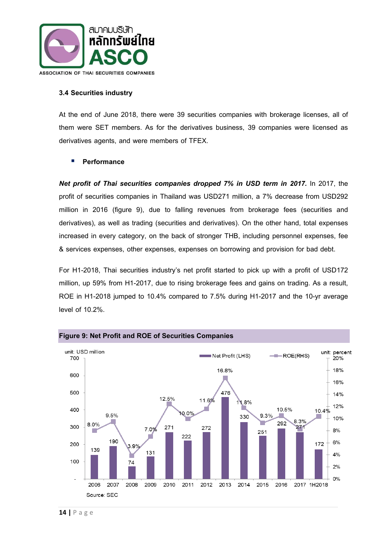

#### **3.4 Securities industry**

At the end of June 2018, there were 39 securities companies with brokerage licenses, all of them were SET members. As for the derivatives business, 39 companies were licensed as derivatives agents, and were members of TFEX.

#### **Performance**

*Net profit of Thai securities companies dropped 7% in USD term in 2017.* In 2017, the profit of securities companies in Thailand was USD271 million, a 7% decrease from USD292 million in 2016 (figure 9), due to falling revenues from brokerage fees (securities and derivatives), as well as trading (securities and derivatives). On the other hand, total expenses increased in every category, on the back of stronger THB, including personnel expenses, fee & services expenses, other expenses, expenses on borrowing and provision for bad debt.

For H1-2018, Thai securities industry's net profit started to pick up with a profit of USD172 million, up 59% from H1-2017, due to rising brokerage fees and gains on trading. As a result, ROE in H1-2018 jumped to 10.4% compared to 7.5% during H1-2017 and the 10-yr average level of 10.2%.

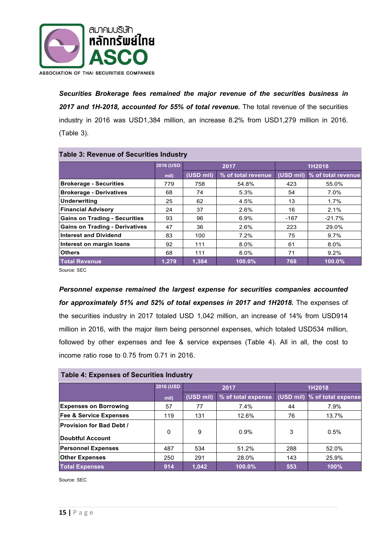

*Securities Brokerage fees remained the major revenue of the securities business in 2017 and 1H-2018, accounted for 55% of total revenue.* The total revenue of the securities industry in 2016 was USD1,384 million, an increase 8.2% from USD1,279 million in 2016. (Table 3).

| Table 3: Revenue of Securities Industry |                  |           |                    |           |                    |  |  |
|-----------------------------------------|------------------|-----------|--------------------|-----------|--------------------|--|--|
|                                         | <b>2016 (USD</b> |           | 2017               | 1H2018    |                    |  |  |
|                                         | mil)             | (USD mil) | % of total revenue | (USD mil) | % of total revenue |  |  |
| <b>Brokerage - Securities</b>           | 779              | 758       | 54.8%              | 423       | 55.0%              |  |  |
| <b>Brokerage - Derivatives</b>          | 68               | 74        | 5.3%               | 54        | 7.0%               |  |  |
| Underwriting                            | 25               | 62        | 4.5%               | 13        | 1.7%               |  |  |
| <b>Financial Advisory</b>               | 24               | 37        | 2.6%               | 16        | 2.1%               |  |  |
| <b>Gains on Trading - Securities</b>    | 93               | 96        | 6.9%               | $-167$    | $-21.7%$           |  |  |
| <b>Gains on Trading - Derivatives</b>   | 47               | 36        | 2.6%               | 223       | 29.0%              |  |  |
| <b>Interest and Dividend</b>            | 83               | 100       | 7.2%               | 75        | 9.7%               |  |  |
| Interest on margin loans                | 92               | 111       | 8.0%               | 61        | 8.0%               |  |  |
| <b>Others</b>                           | 68               | 111       | 8.0%               | 71        | 9.2%               |  |  |
| <b>Total Revenue</b>                    | 1,279            | 1,384     | 100.0%             | 768       | 100.0%             |  |  |

## **Table 3: Revenue of Securities Industry**

Source: SEC

*Personnel expense remained the largest expense for securities companies accounted for approximately 51% and 52% of total expenses in 2017 and 1H2018.* The expenses of the securities industry in 2017 totaled USD 1,042 million, an increase of 14% from USD914 million in 2016, with the major item being personnel expenses, which totaled USD534 million, followed by other expenses and fee & service expenses (Table 4). All in all, the cost to income ratio rose to 0.75 from 0.71 in 2016.

#### **Table 4: Expenses of Securities Industry**

|                                   | <b>2016 (USD</b> | 2017      |                    | 1H2018    |                    |  |  |
|-----------------------------------|------------------|-----------|--------------------|-----------|--------------------|--|--|
|                                   | mil)             | (USD mil) | % of total expense | (USD mil) | % of total expense |  |  |
| <b>Expenses on Borrowing</b>      | 57               | 77        | 7.4%               | 44        | 7.9%               |  |  |
| <b>Fee &amp; Service Expenses</b> | 119              | 131       | 12.6%              | 76        | 13.7%              |  |  |
| Provision for Bad Debt /          | 0                | 9         | 0.9%               | 3         | 0.5%               |  |  |
| Doubtful Account                  |                  |           |                    |           |                    |  |  |
| <b>Personnel Expenses</b>         | 487              | 534       | 51.2%              | 288       | 52.0%              |  |  |
| <b>Other Expenses</b>             | 250              | 291       | 28.0%              | 143       | 25.9%              |  |  |
| <b>Total Expenses</b>             | 914              | 1,042     | 100.0%             | 553       | 100%               |  |  |

Source: SEC